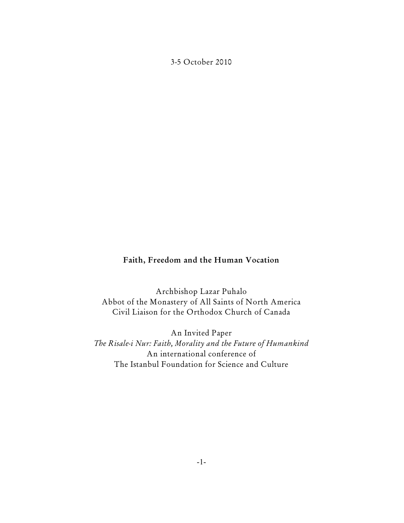3-5 October 2010

#### **Faith, Freedom and the Human Vocation**

Archbishop Lazar Puhalo Abbot of the Monastery of All Saints of North America Civil Liaison for the Orthodox Church of Canada

An Invited Paper *The Risale-i Nur: Faith, Morality and the Future of Humankind* An international conference of The Istanbul Foundation for Science and Culture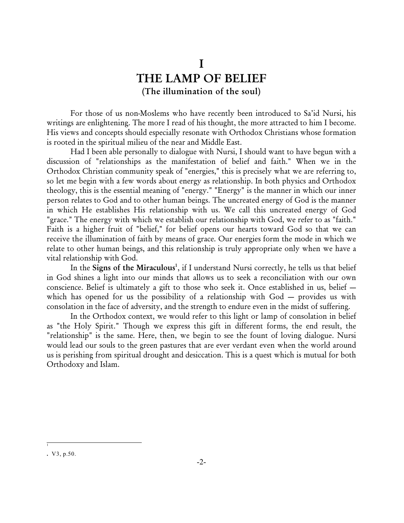# **I THE LAMP OF BELIEF (The illumination of the soul)**

For those of us non-Moslems who have recently been introduced to Sa'id Nursi, his writings are enlightening. The more I read of his thought, the more attracted to him I become. His views and concepts should especially resonate with Orthodox Christians whose formation is rooted in the spiritual milieu of the near and Middle East.

Had I been able personally to dialogue with Nursi, I should want to have begun with a discussion of "relationships as the manifestation of belief and faith." When we in the Orthodox Christian community speak of "energies," this is precisely what we are referring to, so let me begin with a few words about energy as relationship. In both physics and Orthodox theology, this is the essential meaning of "energy." "Energy" is the manner in which our inner person relates to God and to other human beings. The uncreated energy of God is the manner in which He establishes His relationship with us. We call this uncreated energy of God "grace." The energy with which we establish our relationship with God, we refer to as "faith." Faith is a higher fruit of "belief," for belief opens our hearts toward God so that we can receive the illumination of faith by means of grace. Our energies form the mode in which we relate to other human beings, and this relationship is truly appropriate only when we have a vital relationship with God.

In the Signs of the Miraculous<sup>1</sup>, if I understand Nursi correctly, he tells us that belief in God shines a light into our minds that allows us to seek a reconciliation with our own conscience. Belief is ultimately a gift to those who seek it. Once established in us, belief which has opened for us the possibility of a relationship with God – provides us with consolation in the face of adversity, and the strength to endure even in the midst of suffering.

In the Orthodox context, we would refer to this light or lamp of consolation in belief as "the Holy Spirit." Though we express this gift in different forms, the end result, the "relationship" is the same. Here, then, we begin to see the fount of loving dialogue. Nursi would lead our souls to the green pastures that are ever verdant even when the world around us is perishing from spiritual drought and desiccation. This is a quest which is mutual for both Orthodoxy and Islam.

1

**<sup>.</sup>** V3, p.50.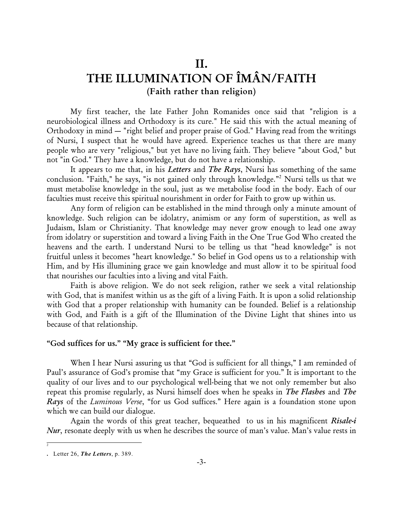## **II.**

# **THE ILLUMINATION OF ÎMÂN/FAITH (Faith rather than religion)**

My first teacher, the late Father John Romanides once said that "religion is a neurobiological illness and Orthodoxy is its cure." He said this with the actual meaning of Orthodoxy in mind — "right belief and proper praise of God." Having read from the writings of Nursi, I suspect that he would have agreed. Experience teaches us that there are many people who are very "religious," but yet have no living faith. They believe "about God," but not "in God." They have a knowledge, but do not have a relationship.

It appears to me that, in his *Letters* and *The Rays*, Nursi has something of the same conclusion. "Faith," he says, "is not gained only through knowledge."<sup>2</sup> Nursi tells us that we must metabolise knowledge in the soul, just as we metabolise food in the body. Each of our faculties must receive this spiritual nourishment in order for Faith to grow up within us.

Any form of religion can be established in the mind through only a minute amount of knowledge. Such religion can be idolatry, animism or any form of superstition, as well as Judaism, Islam or Christianity. That knowledge may never grow enough to lead one away from idolatry or superstition and toward a living Faith in the One True God Who created the heavens and the earth. I understand Nursi to be telling us that "head knowledge" is not fruitful unless it becomes "heart knowledge." So belief in God opens us to a relationship with Him, and by His illumining grace we gain knowledge and must allow it to be spiritual food that nourishes our faculties into a living and vital Faith.

Faith is above religion. We do not seek religion, rather we seek a vital relationship with God, that is manifest within us as the gift of a living Faith. It is upon a solid relationship with God that a proper relationship with humanity can be founded. Belief is a relationship with God, and Faith is a gift of the Illumination of the Divine Light that shines into us because of that relationship.

#### **"God suffices for us." "My grace is sufficient for thee."**

When I hear Nursi assuring us that "God is sufficient for all things," I am reminded of Paul's assurance of God's promise that "my Grace is sufficient for you." It is important to the quality of our lives and to our psychological well-being that we not only remember but also repeat this promise regularly, as Nursi himself does when he speaks in *The Flashes* and *The Rays* of the *Luminous Verse*, "for us God suffices." Here again is a foundation stone upon which we can build our dialogue.

Again the words of this great teacher, bequeathed to us in his magnificent *Risale-i Nur*, resonate deeply with us when he describes the source of man's value. Man's value rests in

2

**<sup>.</sup>** Letter 26, *The Letters*, p. 389.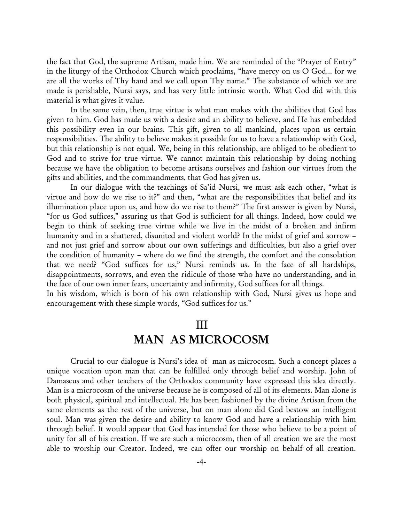the fact that God, the supreme Artisan, made him. We are reminded of the "Prayer of Entry" in the liturgy of the Orthodox Church which proclaims, "have mercy on us O God... for we are all the works of Thy hand and we call upon Thy name." The substance of which we are made is perishable, Nursi says, and has very little intrinsic worth. What God did with this material is what gives it value.

In the same vein, then, true virtue is what man makes with the abilities that God has given to him. God has made us with a desire and an ability to believe, and He has embedded this possibility even in our brains. This gift, given to all mankind, places upon us certain responsibilities. The ability to believe makes it possible for us to have a relationship with God, but this relationship is not equal. We, being in this relationship, are obliged to be obedient to God and to strive for true virtue. We cannot maintain this relationship by doing nothing because we have the obligation to become artisans ourselves and fashion our virtues from the gifts and abilities, and the commandments, that God has given us.

In our dialogue with the teachings of Sa'id Nursi, we must ask each other, "what is virtue and how do we rise to it?" and then, "what are the responsibilities that belief and its illumination place upon us, and how do we rise to them?" The first answer is given by Nursi, "for us God suffices," assuring us that God is sufficient for all things. Indeed, how could we begin to think of seeking true virtue while we live in the midst of a broken and infirm humanity and in a shattered, disunited and violent world? In the midst of grief and sorrow – and not just grief and sorrow about our own sufferings and difficulties, but also a grief over the condition of humanity – where do we find the strength, the comfort and the consolation that we need? "God suffices for us," Nursi reminds us. In the face of all hardships, disappointments, sorrows, and even the ridicule of those who have no understanding, and in the face of our own inner fears, uncertainty and infirmity, God suffices for all things.

In his wisdom, which is born of his own relationship with God, Nursi gives us hope and encouragement with these simple words, "God suffices for us."

#### III

## **MAN AS MICROCOSM**

Crucial to our dialogue is Nursi's idea of man as microcosm. Such a concept places a unique vocation upon man that can be fulfilled only through belief and worship. John of Damascus and other teachers of the Orthodox community have expressed this idea directly. Man is a microcosm of the universe because he is composed of all of its elements. Man alone is both physical, spiritual and intellectual. He has been fashioned by the divine Artisan from the same elements as the rest of the universe, but on man alone did God bestow an intelligent soul. Man was given the desire and ability to know God and have a relationship with him through belief. It would appear that God has intended for those who believe to be a point of unity for all of his creation. If we are such a microcosm, then of all creation we are the most able to worship our Creator. Indeed, we can offer our worship on behalf of all creation.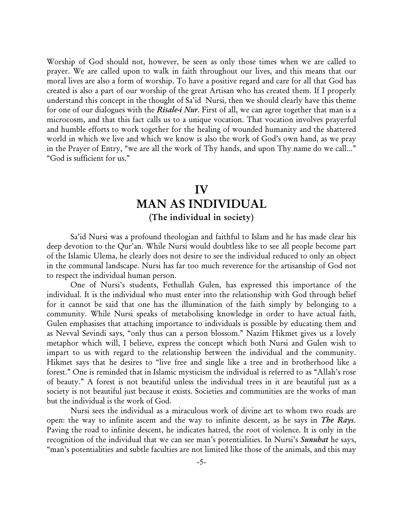Worship of God should not, however, be seen as only those times when we are called to prayer. We are called upon to walk in faith throughout our lives, and this means that our moral lives are also a form of worship. To have a positive regard and care for all that God has created is also a part of our worship of the great Artisan who has created them. If I properly understand this concept in the thought of Sa'id Nursi, then we should clearly have this theme for one of our dialogues with the *Risale-i Nur*. First of all, we can agree together that man is a microcosm, and that this fact calls us to a unique vocation. That vocation involves prayerful and humble efforts to work together for the healing of wounded humanity and the shattered world in which we live and which we know is also the work of God's own hand, as we pray in the Prayer of Entry, "we are all the work of Thy hands, and upon Thy name do we call..." "God is sufficient for us."

### **IV**

## **MAN AS INDIVIDUAL (The individual in society)**

Sa'id Nursi was a profound theologian and faithful to Islam and he has made clear his deep devotion to the Qur'an. While Nursi would doubtless like to see all people become part of the Islamic Ulema, he clearly does not desire to see the individual reduced to only an object in the communal landscape. Nursi has far too much reverence for the artisanship of God not to respect the individual human person.

One of Nursi's students, Fethullah Gulen, has expressed this importance of the individual. It is the individual who must enter into the relationship with God through belief for it cannot be said that one has the illumination of the faith simply by belonging to a community. While Nursi speaks of metabolising knowledge in order to have actual faith, Gulen emphasises that attaching importance to individuals is possible by educating them and as Nevval Sevindi says, "only thus can a person blossom." Nazim Hikmet gives us a lovely metaphor which will, I believe, express the concept which both Nursi and Gulen wish to impart to us with regard to the relationship between the individual and the community. Hikmet says that he desires to "live free and single like a tree and in brotherhood like a forest." One is reminded that in Islamic mysticism the individual is referred to as "Allah's rose of beauty." A forest is not beautiful unless the individual trees in it are beautiful just as a society is not beautiful just because it exists. Societies and communities are the works of man but the individual is the work of God.

Nursi sees the individual as a miraculous work of divine art to whom two roads are open: the way to infinite ascent and the way to infinite descent, as he says in *The Rays*. Paving the road to infinite descent, he indicates hatred, the root of violence. It is only in the recognition of the individual that we can see man's potentialities. In Nursi's *Sunuhat* he says, "man's potentialities and subtle faculties are not limited like those of the animals, and this may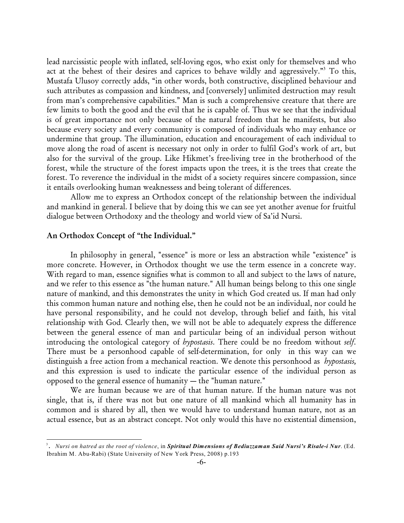lead narcissistic people with inflated, self-loving egos, who exist only for themselves and who act at the behest of their desires and caprices to behave wildly and aggressively."<sup>3</sup> To this, Mustafa Ulusoy correctly adds, "in other words, both constructive, disciplined behaviour and such attributes as compassion and kindness, and [conversely] unlimited destruction may result from man's comprehensive capabilities." Man is such a comprehensive creature that there are few limits to both the good and the evil that he is capable of. Thus we see that the individual is of great importance not only because of the natural freedom that he manifests, but also because every society and every community is composed of individuals who may enhance or undermine that group. The illumination, education and encouragement of each individual to move along the road of ascent is necessary not only in order to fulfil God's work of art, but also for the survival of the group. Like Hikmet's free-living tree in the brotherhood of the forest, while the structure of the forest impacts upon the trees, it is the trees that create the forest. To reverence the individual in the midst of a society requires sincere compassion, since it entails overlooking human weaknessess and being tolerant of differences.

Allow me to express an Orthodox concept of the relationship between the individual and mankind in general. I believe that by doing this we can see yet another avenue for fruitful dialogue between Orthodoxy and the theology and world view of Sa'id Nursi.

#### **An Orthodox Concept of "the Individual."**

In philosophy in general, "essence" is more or less an abstraction while "existence" is more concrete. However, in Orthodox thought we use the term essence in a concrete way. With regard to man, essence signifies what is common to all and subject to the laws of nature, and we refer to this essence as "the human nature." All human beings belong to this one single nature of mankind, and this demonstrates the unity in which God created us. If man had only this common human nature and nothing else, then he could not be an individual, nor could he have personal responsibility, and he could not develop, through belief and faith, his vital relationship with God. Clearly then, we will not be able to adequately express the difference between the general essence of man and particular being of an individual person without introducing the ontological category of *hypostasis*. There could be no freedom without *self*. There must be a personhood capable of self-determination, for only in this way can we distinguish a free action from a mechanical reaction. We denote this personhood as *hypostasis,* and this expression is used to indicate the particular essence of the individual person as opposed to the general essence of humanity — the "human nature."

We are human because we are of that human nature. If the human nature was not single, that is, if there was not but one nature of all mankind which all humanity has in common and is shared by all, then we would have to understand human nature, not as an actual essence, but as an abstract concept. Not only would this have no existential dimension,

<sup>&</sup>lt;sup>3</sup>. Nursi on hatred as the root of violence, in Spiritual Dimensions of Bediuzzaman Said Nursi's Risale-i Nur. (Ed. Ibrahim M. Abu-Rabi) (State University of New York Press, 2008) p.193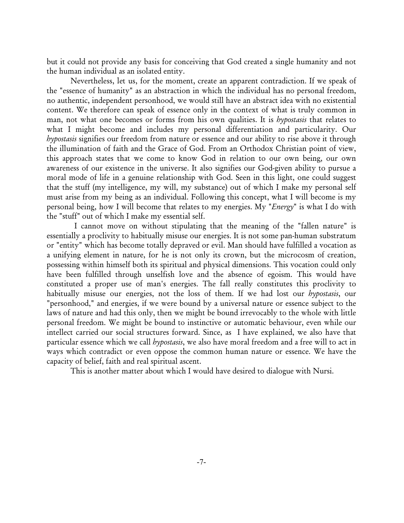but it could not provide any basis for conceiving that God created a single humanity and not the human individual as an isolated entity.

Nevertheless, let us, for the moment, create an apparent contradiction. If we speak of the "essence of humanity" as an abstraction in which the individual has no personal freedom, no authentic, independent personhood, we would still have an abstract idea with no existential content. We therefore can speak of essence only in the context of what is truly common in man, not what one becomes or forms from his own qualities. It is *hypostasis* that relates to what I might become and includes my personal differentiation and particularity. Our *hypostasis* signifies our freedom from nature or essence and our ability to rise above it through the illumination of faith and the Grace of God. From an Orthodox Christian point of view, this approach states that we come to know God in relation to our own being, our own awareness of our existence in the universe. It also signifies our God-given ability to pursue a moral mode of life in a genuine relationship with God. Seen in this light, one could suggest that the stuff (my intelligence, my will, my substance) out of which I make my personal self must arise from my being as an individual. Following this concept, what I will become is my personal being, how I will become that relates to my energies. My "*Energy*" is what I do with the "stuff" out of which I make my essential self.

I cannot move on without stipulating that the meaning of the "fallen nature" is essentially a proclivity to habitually misuse our energies. It is not some pan-human substratum or "entity" which has become totally depraved or evil. Man should have fulfilled a vocation as a unifying element in nature, for he is not only its crown, but the microcosm of creation, possessing within himself both its spiritual and physical dimensions. This vocation could only have been fulfilled through unselfish love and the absence of egoism. This would have constituted a proper use of man's energies. The fall really constitutes this proclivity to habitually misuse our energies, not the loss of them. If we had lost our *hypostasis*, our "personhood," and energies, if we were bound by a universal nature or essence subject to the laws of nature and had this only, then we might be bound irrevocably to the whole with little personal freedom. We might be bound to instinctive or automatic behaviour, even while our intellect carried our social structures forward. Since, as I have explained, we also have that particular essence which we call *hypostasis*, we also have moral freedom and a free will to act in ways which contradict or even oppose the common human nature or essence. We have the capacity of belief, faith and real spiritual ascent.

This is another matter about which I would have desired to dialogue with Nursi.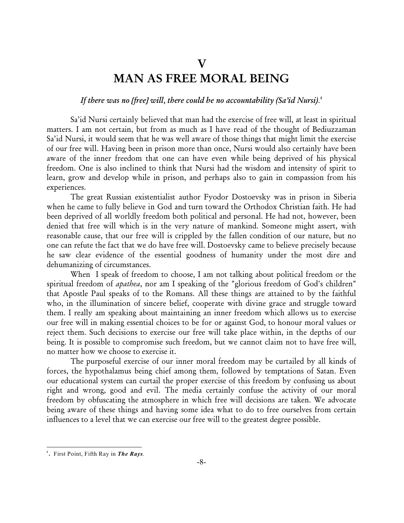# **V MAN AS FREE MORAL BEING**

## *If there was no [free] will, there could be no accountability (Sa'id Nursi)*. 4

Sa'id Nursi certainly believed that man had the exercise of free will, at least in spiritual matters. I am not certain, but from as much as I have read of the thought of Bediuzzaman Sa'id Nursi, it would seem that he was well aware of those things that might limit the exercise of our free will. Having been in prison more than once, Nursi would also certainly have been aware of the inner freedom that one can have even while being deprived of his physical freedom. One is also inclined to think that Nursi had the wisdom and intensity of spirit to learn, grow and develop while in prison, and perhaps also to gain in compassion from his experiences.

The great Russian existentialist author Fyodor Dostoevsky was in prison in Siberia when he came to fully believe in God and turn toward the Orthodox Christian faith. He had been deprived of all worldly freedom both political and personal. He had not, however, been denied that free will which is in the very nature of mankind. Someone might assert, with reasonable cause, that our free will is crippled by the fallen condition of our nature, but no one can refute the fact that we do have free will. Dostoevsky came to believe precisely because he saw clear evidence of the essential goodness of humanity under the most dire and dehumanizing of circumstances.

When I speak of freedom to choose, I am not talking about political freedom or the spiritual freedom of *apathea*, nor am I speaking of the "glorious freedom of God's children" that Apostle Paul speaks of to the Romans. All these things are attained to by the faithful who, in the illumination of sincere belief, cooperate with divine grace and struggle toward them. I really am speaking about maintaining an inner freedom which allows us to exercise our free will in making essential choices to be for or against God, to honour moral values or reject them. Such decisions to exercise our free will take place within, in the depths of our being. It is possible to compromise such freedom, but we cannot claim not to have free will, no matter how we choose to exercise it.

The purposeful exercise of our inner moral freedom may be curtailed by all kinds of forces, the hypothalamus being chief among them, followed by temptations of Satan. Even our educational system can curtail the proper exercise of this freedom by confusing us about right and wrong, good and evil. The media certainly confuse the activity of our moral freedom by obfuscating the atmosphere in which free will decisions are taken. We advocate being aware of these things and having some idea what to do to free ourselves from certain influences to a level that we can exercise our free will to the greatest degree possible.

**<sup>.</sup>** First Point, Fifth Ray in *The Rays*. <sup>4</sup>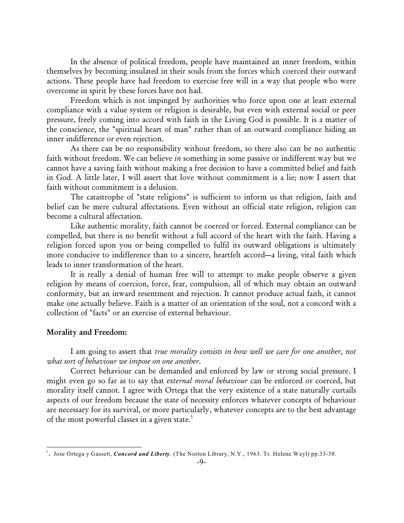In the absence of political freedom, people have maintained an inner freedom, within themselves by becoming insulated in their souls from the forces which coerced their outward actions. These people have had freedom to exercise free will in a way that people who were overcome in spirit by these forces have not had.

Freedom which is not impinged by authorities who force upon one at least external compliance with a value system or religion is desirable, but even with external social or peer pressure, freely coming into accord with faith in the Living God is possible. It is a matter of the conscience, the "spiritual heart of man" rather than of an outward compliance hiding an inner indifference or even rejection.

As there can be no responsibility without freedom, so there also can be no authentic faith without freedom. We can believe *in* something in some passive or indifferent way but we cannot have a saving faith without making a free decision to have a committed belief and faith in God. A little later, I will assert that love without commitment is a lie; now I assert that faith without commitment is a delusion.

The catastrophe of "state religions" is sufficient to inform us that religion, faith and belief can be mere cultural affectations. Even without an official state religion, religion can become a cultural affectation.

Like authentic morality, faith cannot be coerced or forced. External compliance can be compelled, but there is no benefit without a full accord of the heart with the faith. Having a religion forced upon you or being compelled to fulfil its outward obligations is ultimately more conducive to indifference than to a sincere, heartfelt accord—a living, vital faith which leads to inner transformation of the heart.

It is really a denial of human free will to attempt to make people observe a given religion by means of coercion, force, fear, compulsion, all of which may obtain an outward conformity, but an inward resentment and rejection. It cannot produce actual faith, it cannot make one actually believe. Faith is a matter of an orientation of the soul, not a concord with a collection of "facts" or an exercise of external behaviour.

#### **Morality and Freedom:**

I am going to assert that *true morality consists in how well we care for one another, not what sort of behaviour we impose on one another*.

Correct behaviour can be demanded and enforced by law or strong social pressure. I might even go so far as to say that *external moral behaviour* can be enforced or coerced, but morality itself cannot. I agree with Ortega that the very existence of a state naturally curtails aspects of our freedom because the state of necessity enforces whatever concepts of behaviour are necessary for its survival, or more particularly, whatever concepts are to the best advantage of the most powerful classes in a given state. 5

**<sup>.</sup>** Jose Ortega y Gassett, *Concord and Liberty*. (The Norton Library, N.Y., 1963. Tr. Helene Weyl) pp.33-38. <sup>5</sup>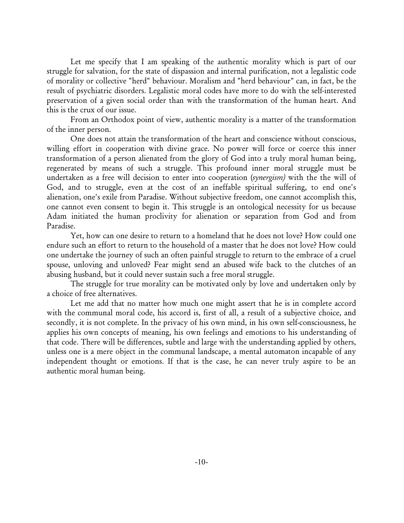Let me specify that I am speaking of the authentic morality which is part of our struggle for salvation, for the state of dispassion and internal purification, not a legalistic code of morality or collective "herd" behaviour. Moralism and "herd behaviour" can, in fact, be the result of psychiatric disorders. Legalistic moral codes have more to do with the self-interested preservation of a given social order than with the transformation of the human heart. And this is the crux of our issue.

From an Orthodox point of view, authentic morality is a matter of the transformation of the inner person.

One does not attain the transformation of the heart and conscience without conscious, willing effort in cooperation with divine grace. No power will force or coerce this inner transformation of a person alienated from the glory of God into a truly moral human being, regenerated by means of such a struggle. This profound inner moral struggle must be undertaken as a free will decision to enter into cooperation (*synergism)* with the the will of God, and to struggle, even at the cost of an ineffable spiritual suffering, to end one's alienation, one's exile from Paradise. Without subjective freedom, one cannot accomplish this, one cannot even consent to begin it. This struggle is an ontological necessity for us because Adam initiated the human proclivity for alienation or separation from God and from Paradise.

Yet, how can one desire to return to a homeland that he does not love? How could one endure such an effort to return to the household of a master that he does not love? How could one undertake the journey of such an often painful struggle to return to the embrace of a cruel spouse, unloving and unloved? Fear might send an abused wife back to the clutches of an abusing husband, but it could never sustain such a free moral struggle.

The struggle for true morality can be motivated only by love and undertaken only by a choice of free alternatives.

Let me add that no matter how much one might assert that he is in complete accord with the communal moral code, his accord is, first of all, a result of a subjective choice, and secondly, it is not complete. In the privacy of his own mind, in his own self-consciousness, he applies his own concepts of meaning, his own feelings and emotions to his understanding of that code. There will be differences, subtle and large with the understanding applied by others, unless one is a mere object in the communal landscape, a mental automaton incapable of any independent thought or emotions. If that is the case, he can never truly aspire to be an authentic moral human being.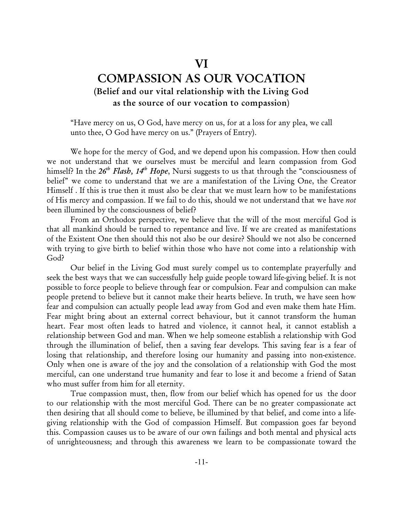## **VI**

## **COMPASSION AS OUR VOCATION (Belief and our vital relationship with the Living God as the source of our vocation to compassion**)

"Have mercy on us, O God, have mercy on us, for at a loss for any plea, we call unto thee, O God have mercy on us." (Prayers of Entry).

We hope for the mercy of God, and we depend upon his compassion. How then could we not understand that we ourselves must be merciful and learn compassion from God himself? In the 26<sup>th</sup> Flash, 14<sup>th</sup> Hope, Nursi suggests to us that through the "consciousness of belief" we come to understand that we are a manifestation of the Living One, the Creator Himself . If this is true then it must also be clear that we must learn how to be manifestations of His mercy and compassion. If we fail to do this, should we not understand that we have *not* been illumined by the consciousness of belief?

From an Orthodox perspective, we believe that the will of the most merciful God is that all mankind should be turned to repentance and live. If we are created as manifestations of the Existent One then should this not also be our desire? Should we not also be concerned with trying to give birth to belief within those who have not come into a relationship with God?

Our belief in the Living God must surely compel us to contemplate prayerfully and seek the best ways that we can successfully help guide people toward life-giving belief. It is not possible to force people to believe through fear or compulsion. Fear and compulsion can make people pretend to believe but it cannot make their hearts believe. In truth, we have seen how fear and compulsion can actually people lead away from God and even make them hate Him. Fear might bring about an external correct behaviour, but it cannot transform the human heart. Fear most often leads to hatred and violence, it cannot heal, it cannot establish a relationship between God and man. When we help someone establish a relationship with God through the illumination of belief, then a saving fear develops. This saving fear is a fear of losing that relationship, and therefore losing our humanity and passing into non-existence. Only when one is aware of the joy and the consolation of a relationship with God the most merciful, can one understand true humanity and fear to lose it and become a friend of Satan who must suffer from him for all eternity.

True compassion must, then, flow from our belief which has opened for us the door to our relationship with the most merciful God. There can be no greater compassionate act then desiring that all should come to believe, be illumined by that belief, and come into a lifegiving relationship with the God of compassion Himself. But compassion goes far beyond this. Compassion causes us to be aware of our own failings and both mental and physical acts of unrighteousness; and through this awareness we learn to be compassionate toward the